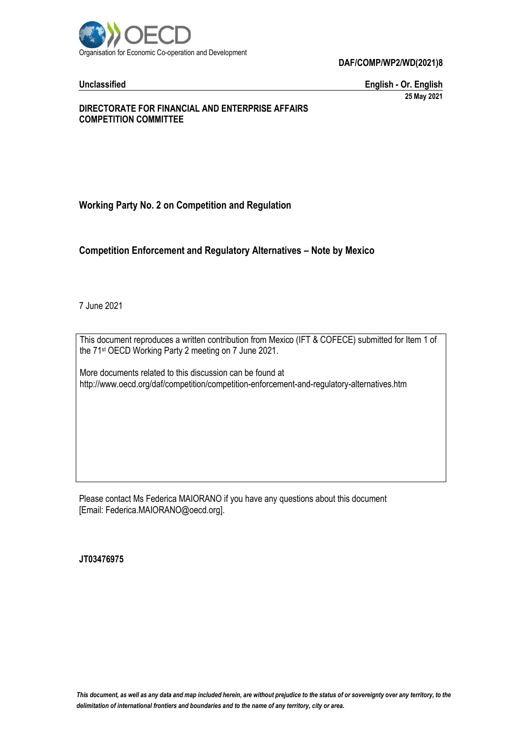

**Unclassified English - Or. English 25 May 2021**

#### **DIRECTORATE FOR FINANCIAL AND ENTERPRISE AFFAIRS COMPETITION COMMITTEE**

# **Working Party No. 2 on Competition and Regulation**

# **Competition Enforcement and Regulatory Alternatives – Note by Mexico**

7 June 2021

This document reproduces a written contribution from Mexico (IFT & COFECE) submitted for Item 1 of the 71 st OECD Working Party 2 meeting on 7 June 2021.

More documents related to this discussion can be found at http://www.oecd.org/daf/competition/competition-enforcement-and-regulatory-alternatives.htm

Please contact Ms Federica MAIORANO if you have any questions about this document [Email: Federica.MAIORANO@oecd.org].

**JT03476975**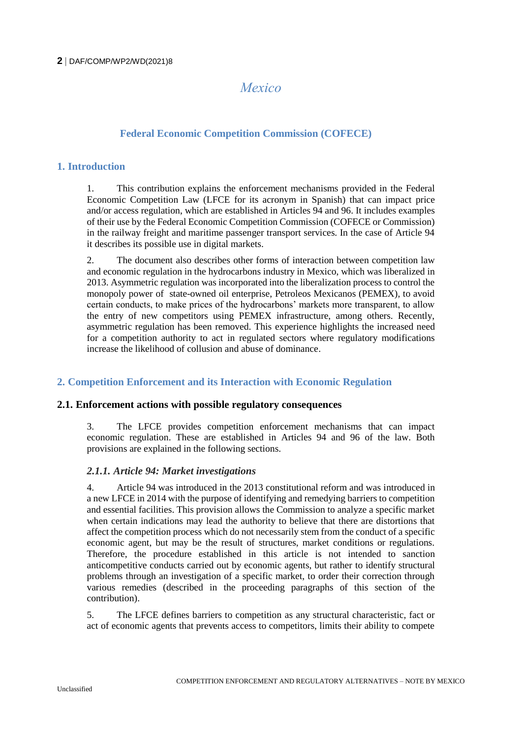# *Mexico*

# **Federal Economic Competition Commission (COFECE)**

# **1. Introduction**

1. This contribution explains the enforcement mechanisms provided in the Federal Economic Competition Law (LFCE for its acronym in Spanish) that can impact price and/or access regulation, which are established in Articles 94 and 96. It includes examples of their use by the Federal Economic Competition Commission (COFECE or Commission) in the railway freight and maritime passenger transport services. In the case of Article 94 it describes its possible use in digital markets.

2. The document also describes other forms of interaction between competition law and economic regulation in the hydrocarbons industry in Mexico, which was liberalized in 2013. Asymmetric regulation was incorporated into the liberalization process to control the monopoly power of state-owned oil enterprise, Petroleos Mexicanos (PEMEX), to avoid certain conducts, to make prices of the hydrocarbons' markets more transparent, to allow the entry of new competitors using PEMEX infrastructure, among others. Recently, asymmetric regulation has been removed. This experience highlights the increased need for a competition authority to act in regulated sectors where regulatory modifications increase the likelihood of collusion and abuse of dominance.

# **2. Competition Enforcement and its Interaction with Economic Regulation**

# **2.1. Enforcement actions with possible regulatory consequences**

3. The LFCE provides competition enforcement mechanisms that can impact economic regulation. These are established in Articles 94 and 96 of the law. Both provisions are explained in the following sections.

# *2.1.1. Article 94: Market investigations*

4. Article 94 was introduced in the 2013 constitutional reform and was introduced in a new LFCE in 2014 with the purpose of identifying and remedying barriers to competition and essential facilities. This provision allows the Commission to analyze a specific market when certain indications may lead the authority to believe that there are distortions that affect the competition process which do not necessarily stem from the conduct of a specific economic agent, but may be the result of structures, market conditions or regulations. Therefore, the procedure established in this article is not intended to sanction anticompetitive conducts carried out by economic agents, but rather to identify structural problems through an investigation of a specific market, to order their correction through various remedies (described in the proceeding paragraphs of this section of the contribution).

5. The LFCE defines barriers to competition as any structural characteristic, fact or act of economic agents that prevents access to competitors, limits their ability to compete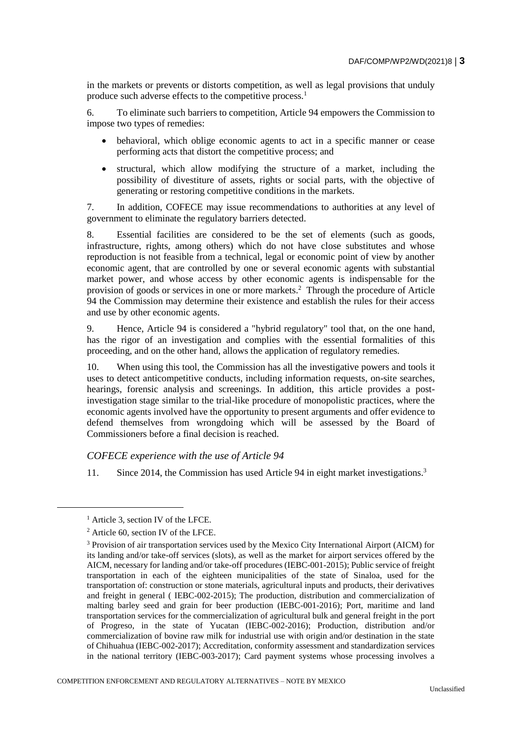in the markets or prevents or distorts competition, as well as legal provisions that unduly produce such adverse effects to the competitive process.<sup>1</sup>

6. To eliminate such barriers to competition, Article 94 empowers the Commission to impose two types of remedies:

- behavioral, which oblige economic agents to act in a specific manner or cease performing acts that distort the competitive process; and
- structural, which allow modifying the structure of a market, including the possibility of divestiture of assets, rights or social parts, with the objective of generating or restoring competitive conditions in the markets.

7. In addition, COFECE may issue recommendations to authorities at any level of government to eliminate the regulatory barriers detected.

8. Essential facilities are considered to be the set of elements (such as goods, infrastructure, rights, among others) which do not have close substitutes and whose reproduction is not feasible from a technical, legal or economic point of view by another economic agent, that are controlled by one or several economic agents with substantial market power, and whose access by other economic agents is indispensable for the provision of goods or services in one or more markets.<sup>2</sup> Through the procedure of Article 94 the Commission may determine their existence and establish the rules for their access and use by other economic agents.

9. Hence, Article 94 is considered a "hybrid regulatory" tool that, on the one hand, has the rigor of an investigation and complies with the essential formalities of this proceeding, and on the other hand, allows the application of regulatory remedies.

10. When using this tool, the Commission has all the investigative powers and tools it uses to detect anticompetitive conducts, including information requests, on-site searches, hearings, forensic analysis and screenings. In addition, this article provides a postinvestigation stage similar to the trial-like procedure of monopolistic practices, where the economic agents involved have the opportunity to present arguments and offer evidence to defend themselves from wrongdoing which will be assessed by the Board of Commissioners before a final decision is reached.

#### *COFECE experience with the use of Article 94*

11. Since 2014, the Commission has used Article 94 in eight market investigations.<sup>3</sup>

<sup>&</sup>lt;sup>1</sup> Article 3, section IV of the LFCE.

<sup>2</sup> Article 60, section IV of the LFCE.

<sup>&</sup>lt;sup>3</sup> Provision of air transportation services used by the Mexico City International Airport (AICM) for its landing and/or take-off services (slots), as well as the market for airport services offered by the AICM, necessary for landing and/or take-off procedures (IEBC-001-2015); Public service of freight transportation in each of the eighteen municipalities of the state of Sinaloa, used for the transportation of: construction or stone materials, agricultural inputs and products, their derivatives and freight in general ( IEBC-002-2015); The production, distribution and commercialization of malting barley seed and grain for beer production (IEBC-001-2016); Port, maritime and land transportation services for the commercialization of agricultural bulk and general freight in the port of Progreso, in the state of Yucatan (IEBC-002-2016); Production, distribution and/or commercialization of bovine raw milk for industrial use with origin and/or destination in the state of Chihuahua (IEBC-002-2017); Accreditation, conformity assessment and standardization services in the national territory (IEBC-003-2017); Card payment systems whose processing involves a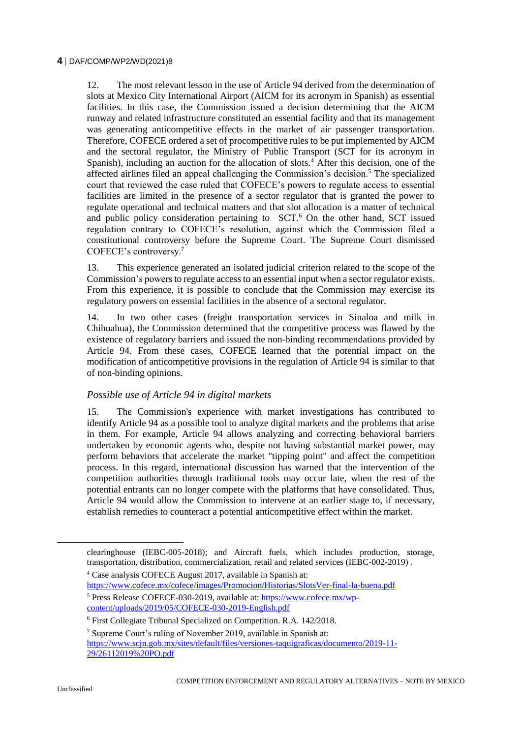12. The most relevant lesson in the use of Article 94 derived from the determination of slots at Mexico City International Airport (AICM for its acronym in Spanish) as essential facilities. In this case, the Commission issued a decision determining that the AICM runway and related infrastructure constituted an essential facility and that its management was generating anticompetitive effects in the market of air passenger transportation. Therefore, COFECE ordered a set of procompetitive rules to be put implemented by AICM and the sectoral regulator, the Ministry of Public Transport (SCT for its acronym in Spanish), including an auction for the allocation of slots.<sup>4</sup> After this decision, one of the affected airlines filed an appeal challenging the Commission's decision.<sup>5</sup> The specialized court that reviewed the case ruled that COFECE's powers to regulate access to essential facilities are limited in the presence of a sector regulator that is granted the power to regulate operational and technical matters and that slot allocation is a matter of technical and public policy consideration pertaining to SCT.<sup>6</sup> On the other hand, SCT issued regulation contrary to COFECE's resolution, against which the Commission filed a constitutional controversy before the Supreme Court. The Supreme Court dismissed COFECE's controversy.<sup>7</sup>

13. This experience generated an isolated judicial criterion related to the scope of the Commission's powers to regulate access to an essential input when a sector regulator exists. From this experience, it is possible to conclude that the Commission may exercise its regulatory powers on essential facilities in the absence of a sectoral regulator.

14. In two other cases (freight transportation services in Sinaloa and milk in Chihuahua), the Commission determined that the competitive process was flawed by the existence of regulatory barriers and issued the non-binding recommendations provided by Article 94. From these cases, COFECE learned that the potential impact on the modification of anticompetitive provisions in the regulation of Article 94 is similar to that of non-binding opinions.

#### *Possible use of Article 94 in digital markets*

15. The Commission's experience with market investigations has contributed to identify Article 94 as a possible tool to analyze digital markets and the problems that arise in them. For example, Article 94 allows analyzing and correcting behavioral barriers undertaken by economic agents who, despite not having substantial market power, may perform behaviors that accelerate the market "tipping point" and affect the competition process. In this regard, international discussion has warned that the intervention of the competition authorities through traditional tools may occur late, when the rest of the potential entrants can no longer compete with the platforms that have consolidated. Thus, Article 94 would allow the Commission to intervene at an earlier stage to, if necessary, establish remedies to counteract a potential anticompetitive effect within the market.

clearinghouse (IEBC-005-2018); and Aircraft fuels, which includes production, storage, transportation, distribution, commercialization, retail and related services (IEBC-002-2019) .

<sup>4</sup> Case analysis COFECE August 2017, available in Spanish at:

<https://www.cofece.mx/cofece/images/Promocion/Historias/SlotsVer-final-la-buena.pdf>

<sup>5</sup> Press Release COFECE-030-2019, available at: [https://www.cofece.mx/wp](https://www.cofece.mx/wp-content/uploads/2019/05/COFECE-030-2019-English.pdf)[content/uploads/2019/05/COFECE-030-2019-English.pdf](https://www.cofece.mx/wp-content/uploads/2019/05/COFECE-030-2019-English.pdf)

<sup>6</sup> First Collegiate Tribunal Specialized on Competition. R.A. 142/2018.

<sup>7</sup> Supreme Court's ruling of November 2019, available in Spanish at:

[https://www.scjn.gob.mx/sites/default/files/versiones-taquigraficas/documento/2019-11-](https://www.scjn.gob.mx/sites/default/files/versiones-taquigraficas/documento/2019-11-29/26112019%20PO.pdf) [29/26112019%20PO.pdf](https://www.scjn.gob.mx/sites/default/files/versiones-taquigraficas/documento/2019-11-29/26112019%20PO.pdf)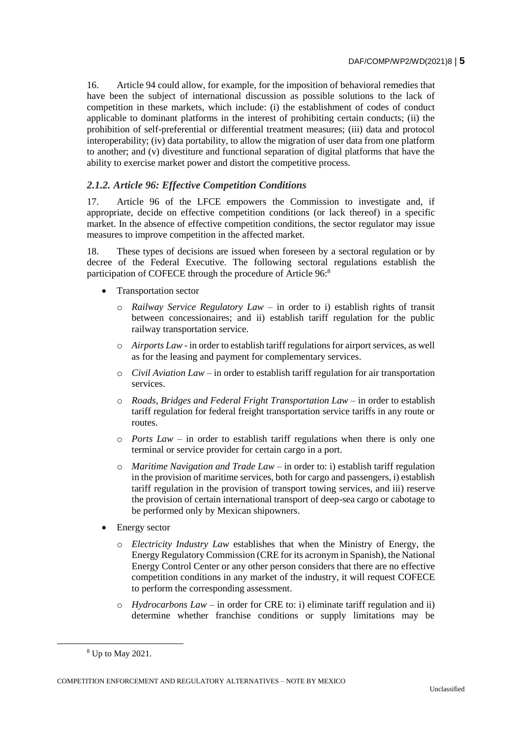16. Article 94 could allow, for example, for the imposition of behavioral remedies that have been the subject of international discussion as possible solutions to the lack of competition in these markets, which include: (i) the establishment of codes of conduct applicable to dominant platforms in the interest of prohibiting certain conducts; (ii) the prohibition of self-preferential or differential treatment measures; (iii) data and protocol interoperability; (iv) data portability, to allow the migration of user data from one platform to another; and (v) divestiture and functional separation of digital platforms that have the ability to exercise market power and distort the competitive process.

# *2.1.2. Article 96: Effective Competition Conditions*

17. Article 96 of the LFCE empowers the Commission to investigate and, if appropriate, decide on effective competition conditions (or lack thereof) in a specific market. In the absence of effective competition conditions, the sector regulator may issue measures to improve competition in the affected market.

18. These types of decisions are issued when foreseen by a sectoral regulation or by decree of the Federal Executive. The following sectoral regulations establish the participation of COFECE through the procedure of Article 96:<sup>8</sup>

- Transportation sector
	- o *Railway Service Regulatory Law* in order to i) establish rights of transit between concessionaires; and ii) establish tariff regulation for the public railway transportation service.
	- o *Airports Law* in order to establish tariff regulations for airport services, as well as for the leasing and payment for complementary services.
	- o *Civil Aviation Law* in order to establish tariff regulation for air transportation services.
	- o *Roads, Bridges and Federal Fright Transportation Law* in order to establish tariff regulation for federal freight transportation service tariffs in any route or routes.
	- o *Ports Law* in order to establish tariff regulations when there is only one terminal or service provider for certain cargo in a port.
	- o *Maritime Navigation and Trade Law* in order to: i) establish tariff regulation in the provision of maritime services, both for cargo and passengers, i) establish tariff regulation in the provision of transport towing services, and iii) reserve the provision of certain international transport of deep-sea cargo or cabotage to be performed only by Mexican shipowners.
- Energy sector
	- o *Electricity Industry Law* establishes that when the Ministry of Energy, the Energy Regulatory Commission (CRE for its acronym in Spanish), the National Energy Control Center or any other person considers that there are no effective competition conditions in any market of the industry, it will request COFECE to perform the corresponding assessment.
	- o *Hydrocarbons Law* in order for CRE to: i) eliminate tariff regulation and ii) determine whether franchise conditions or supply limitations may be

<sup>8</sup> Up to May 2021.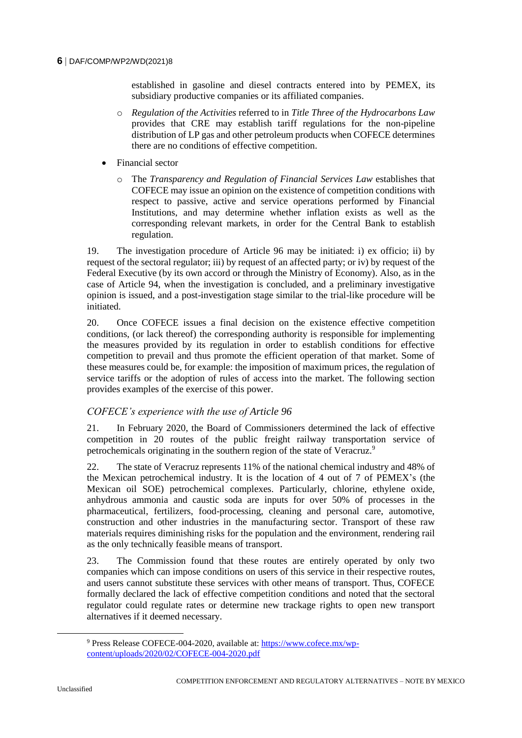established in gasoline and diesel contracts entered into by PEMEX, its subsidiary productive companies or its affiliated companies.

- o *Regulation of the Activities* referred to in *Title Three of the Hydrocarbons Law*  provides that CRE may establish tariff regulations for the non-pipeline distribution of LP gas and other petroleum products when COFECE determines there are no conditions of effective competition.
- Financial sector
	- o The *Transparency and Regulation of Financial Services Law* establishes that COFECE may issue an opinion on the existence of competition conditions with respect to passive, active and service operations performed by Financial Institutions, and may determine whether inflation exists as well as the corresponding relevant markets, in order for the Central Bank to establish regulation.

19. The investigation procedure of Article 96 may be initiated: i) ex officio; ii) by request of the sectoral regulator; iii) by request of an affected party; or iv) by request of the Federal Executive (by its own accord or through the Ministry of Economy). Also, as in the case of Article 94, when the investigation is concluded, and a preliminary investigative opinion is issued, and a post-investigation stage similar to the trial-like procedure will be initiated.

20. Once COFECE issues a final decision on the existence effective competition conditions, (or lack thereof) the corresponding authority is responsible for implementing the measures provided by its regulation in order to establish conditions for effective competition to prevail and thus promote the efficient operation of that market. Some of these measures could be, for example: the imposition of maximum prices, the regulation of service tariffs or the adoption of rules of access into the market. The following section provides examples of the exercise of this power.

# *COFECE's experience with the use of Article 96*

21. In February 2020, the Board of Commissioners determined the lack of effective competition in 20 routes of the public freight railway transportation service of petrochemicals originating in the southern region of the state of Veracruz.<sup>9</sup>

22. The state of Veracruz represents 11% of the national chemical industry and 48% of the Mexican petrochemical industry. It is the location of 4 out of 7 of PEMEX's (the Mexican oil SOE) petrochemical complexes. Particularly, chlorine, ethylene oxide, anhydrous ammonia and caustic soda are inputs for over 50% of processes in the pharmaceutical, fertilizers, food-processing, cleaning and personal care, automotive, construction and other industries in the manufacturing sector. Transport of these raw materials requires diminishing risks for the population and the environment, rendering rail as the only technically feasible means of transport.

23. The Commission found that these routes are entirely operated by only two companies which can impose conditions on users of this service in their respective routes, and users cannot substitute these services with other means of transport. Thus, COFECE formally declared the lack of effective competition conditions and noted that the sectoral regulator could regulate rates or determine new trackage rights to open new transport alternatives if it deemed necessary.

<sup>9</sup> Press Release COFECE-004-2020, available at: [https://www.cofece.mx/wp](https://www.cofece.mx/wp-content/uploads/2020/02/COFECE-004-2020.pdf)[content/uploads/2020/02/COFECE-004-2020.pdf](https://www.cofece.mx/wp-content/uploads/2020/02/COFECE-004-2020.pdf)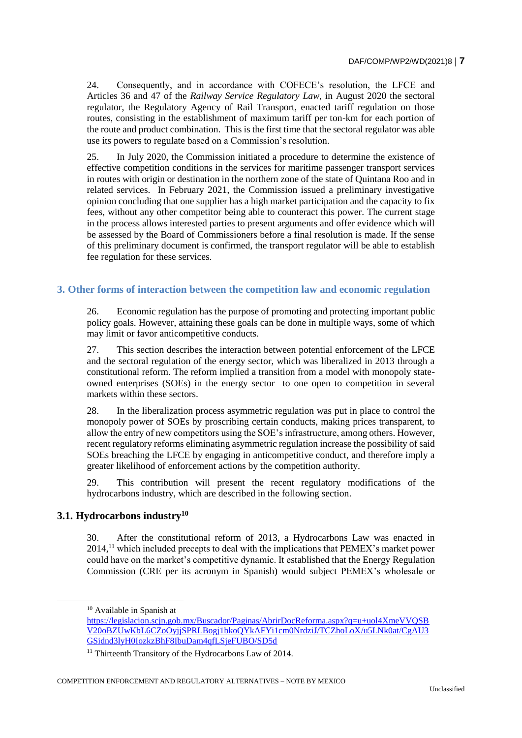24. Consequently, and in accordance with COFECE's resolution, the LFCE and Articles 36 and 47 of the *Railway Service Regulatory Law*, in August 2020 the sectoral regulator, the Regulatory Agency of Rail Transport, enacted tariff regulation on those routes, consisting in the establishment of maximum tariff per ton-km for each portion of the route and product combination. This is the first time that the sectoral regulator was able use its powers to regulate based on a Commission's resolution.

25. In July 2020, the Commission initiated a procedure to determine the existence of effective competition conditions in the services for maritime passenger transport services in routes with origin or destination in the northern zone of the state of Quintana Roo and in related services. In February 2021, the Commission issued a preliminary investigative opinion concluding that one supplier has a high market participation and the capacity to fix fees, without any other competitor being able to counteract this power. The current stage in the process allows interested parties to present arguments and offer evidence which will be assessed by the Board of Commissioners before a final resolution is made. If the sense of this preliminary document is confirmed, the transport regulator will be able to establish fee regulation for these services.

# **3. Other forms of interaction between the competition law and economic regulation**

26. Economic regulation has the purpose of promoting and protecting important public policy goals. However, attaining these goals can be done in multiple ways, some of which may limit or favor anticompetitive conducts.

27. This section describes the interaction between potential enforcement of the LFCE and the sectoral regulation of the energy sector, which was liberalized in 2013 through a constitutional reform. The reform implied a transition from a model with monopoly stateowned enterprises (SOEs) in the energy sector to one open to competition in several markets within these sectors.

28. In the liberalization process asymmetric regulation was put in place to control the monopoly power of SOEs by proscribing certain conducts, making prices transparent, to allow the entry of new competitors using the SOE's infrastructure, among others. However, recent regulatory reforms eliminating asymmetric regulation increase the possibility of said SOEs breaching the LFCE by engaging in anticompetitive conduct, and therefore imply a greater likelihood of enforcement actions by the competition authority.

29. This contribution will present the recent regulatory modifications of the hydrocarbons industry, which are described in the following section.

# **3.1. Hydrocarbons industry<sup>10</sup>**

30. After the constitutional reform of 2013, a Hydrocarbons Law was enacted in  $2014$ ,<sup>11</sup> which included precepts to deal with the implications that PEMEX's market power could have on the market's competitive dynamic. It established that the Energy Regulation Commission (CRE per its acronym in Spanish) would subject PEMEX's wholesale or

 $\overline{a}$ 

<sup>10</sup> Available in Spanish at

[https://legislacion.scjn.gob.mx/Buscador/Paginas/AbrirDocReforma.aspx?q=u+uol4XmeVVQSB](https://legislacion.scjn.gob.mx/Buscador/Paginas/AbrirDocReforma.aspx?q=u+uol4XmeVVQSBV20oBZUwKbL6CZoOyjjSPRLBogj1bkoQYkAFYi1cm0NrdziJ/TCZhoLoX/u5LNk0at/CgAU3GSidnd3lyH0IozkzBhF8IbuDam4qfLSjeFUBO/SD5d) [V20oBZUwKbL6CZoOyjjSPRLBogj1bkoQYkAFYi1cm0NrdziJ/TCZhoLoX/u5LNk0at/CgAU3](https://legislacion.scjn.gob.mx/Buscador/Paginas/AbrirDocReforma.aspx?q=u+uol4XmeVVQSBV20oBZUwKbL6CZoOyjjSPRLBogj1bkoQYkAFYi1cm0NrdziJ/TCZhoLoX/u5LNk0at/CgAU3GSidnd3lyH0IozkzBhF8IbuDam4qfLSjeFUBO/SD5d) [GSidnd3lyH0IozkzBhF8IbuDam4qfLSjeFUBO/SD5d](https://legislacion.scjn.gob.mx/Buscador/Paginas/AbrirDocReforma.aspx?q=u+uol4XmeVVQSBV20oBZUwKbL6CZoOyjjSPRLBogj1bkoQYkAFYi1cm0NrdziJ/TCZhoLoX/u5LNk0at/CgAU3GSidnd3lyH0IozkzBhF8IbuDam4qfLSjeFUBO/SD5d)

<sup>&</sup>lt;sup>11</sup> Thirteenth Transitory of the Hydrocarbons Law of 2014.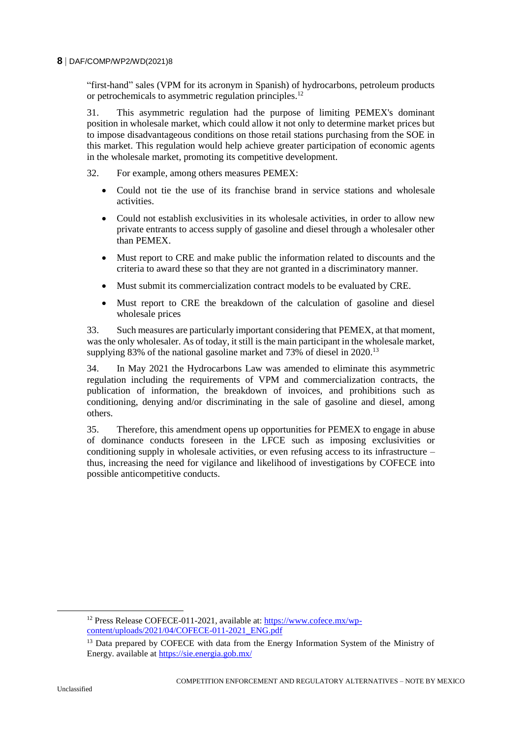"first-hand" sales (VPM for its acronym in Spanish) of hydrocarbons, petroleum products or petrochemicals to asymmetric regulation principles.<sup>12</sup>

31. This asymmetric regulation had the purpose of limiting PEMEX's dominant position in wholesale market, which could allow it not only to determine market prices but to impose disadvantageous conditions on those retail stations purchasing from the SOE in this market. This regulation would help achieve greater participation of economic agents in the wholesale market, promoting its competitive development.

- 32. For example, among others measures PEMEX:
	- Could not tie the use of its franchise brand in service stations and wholesale activities.
	- Could not establish exclusivities in its wholesale activities, in order to allow new private entrants to access supply of gasoline and diesel through a wholesaler other than PEMEX.
	- Must report to CRE and make public the information related to discounts and the criteria to award these so that they are not granted in a discriminatory manner.
	- Must submit its commercialization contract models to be evaluated by CRE.
	- Must report to CRE the breakdown of the calculation of gasoline and diesel wholesale prices

33. Such measures are particularly important considering that PEMEX, at that moment, was the only wholesaler. As of today, it still is the main participant in the wholesale market, supplying 83% of the national gasoline market and 73% of diesel in 2020.<sup>13</sup>

34. In May 2021 the Hydrocarbons Law was amended to eliminate this asymmetric regulation including the requirements of VPM and commercialization contracts, the publication of information, the breakdown of invoices, and prohibitions such as conditioning, denying and/or discriminating in the sale of gasoline and diesel, among others.

35. Therefore, this amendment opens up opportunities for PEMEX to engage in abuse of dominance conducts foreseen in the LFCE such as imposing exclusivities or conditioning supply in wholesale activities, or even refusing access to its infrastructure – thus, increasing the need for vigilance and likelihood of investigations by COFECE into possible anticompetitive conducts.

<sup>&</sup>lt;sup>12</sup> Press Release COFECE-011-2021, available at: [https://www.cofece.mx/wp](https://www.cofece.mx/wp-content/uploads/2021/04/COFECE-011-2021_ENG.pdf)[content/uploads/2021/04/COFECE-011-2021\\_ENG.pdf](https://www.cofece.mx/wp-content/uploads/2021/04/COFECE-011-2021_ENG.pdf)

<sup>&</sup>lt;sup>13</sup> Data prepared by COFECE with data from the Energy Information System of the Ministry of Energy. available at<https://sie.energia.gob.mx/>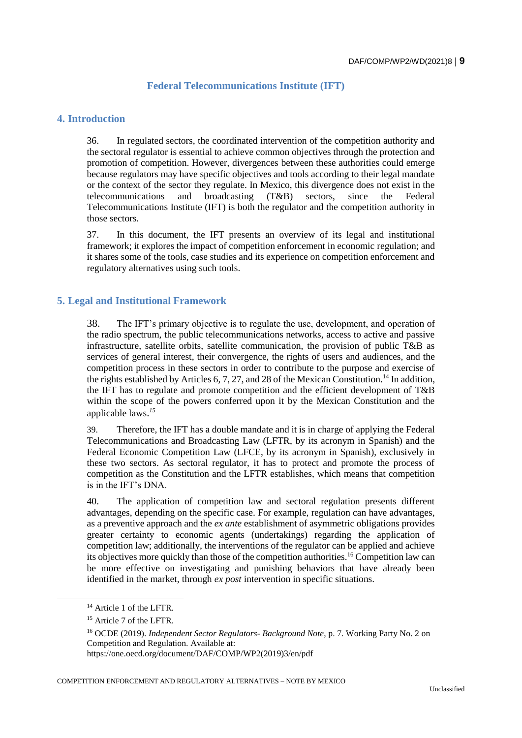# **Federal Telecommunications Institute (IFT)**

### **4. Introduction**

36. In regulated sectors, the coordinated intervention of the competition authority and the sectoral regulator is essential to achieve common objectives through the protection and promotion of competition. However, divergences between these authorities could emerge because regulators may have specific objectives and tools according to their legal mandate or the context of the sector they regulate. In Mexico, this divergence does not exist in the telecommunications and broadcasting (T&B) sectors, since the Federal Telecommunications Institute (IFT) is both the regulator and the competition authority in those sectors.

37. In this document, the IFT presents an overview of its legal and institutional framework; it explores the impact of competition enforcement in economic regulation; and it shares some of the tools, case studies and its experience on competition enforcement and regulatory alternatives using such tools.

### **5. Legal and Institutional Framework**

38. The IFT's primary objective is to regulate the use, development, and operation of the radio spectrum, the public telecommunications networks, access to active and passive infrastructure, satellite orbits, satellite communication, the provision of public T&B as services of general interest, their convergence, the rights of users and audiences, and the competition process in these sectors in order to contribute to the purpose and exercise of the rights established by Articles 6, 7, 27, and 28 of the Mexican Constitution.<sup>14</sup> In addition, the IFT has to regulate and promote competition and the efficient development of T&B within the scope of the powers conferred upon it by the Mexican Constitution and the applicable laws. *15*

39. Therefore, the IFT has a double mandate and it is in charge of applying the Federal Telecommunications and Broadcasting Law (LFTR, by its acronym in Spanish) and the Federal Economic Competition Law (LFCE, by its acronym in Spanish), exclusively in these two sectors. As sectoral regulator, it has to protect and promote the process of competition as the Constitution and the LFTR establishes, which means that competition is in the IFT's DNA.

40. The application of competition law and sectoral regulation presents different advantages, depending on the specific case. For example, regulation can have advantages, as a preventive approach and the *ex ante* establishment of asymmetric obligations provides greater certainty to economic agents (undertakings) regarding the application of competition law; additionally, the interventions of the regulator can be applied and achieve its objectives more quickly than those of the competition authorities.<sup>16</sup> Competition law can be more effective on investigating and punishing behaviors that have already been identified in the market, through *ex post* intervention in specific situations.

 $\overline{a}$ 

COMPETITION ENFORCEMENT AND REGULATORY ALTERNATIVES – NOTE BY MEXICO

<sup>14</sup> Article 1 of the LFTR.

<sup>&</sup>lt;sup>15</sup> Article 7 of the LFTR.

<sup>16</sup> OCDE (2019). *Independent Sector Regulators- Background Note*, p. 7. Working Party No. 2 on Competition and Regulation. Available at:

https://one.oecd.org/document/DAF/COMP/WP2(2019)3/en/pdf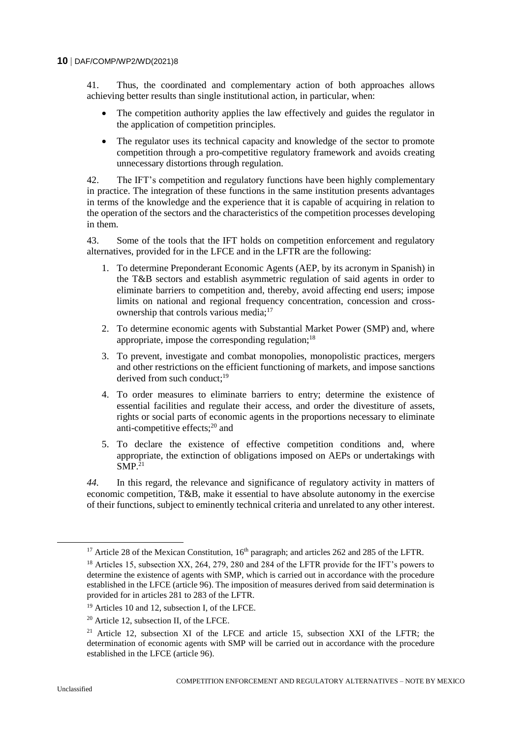41. Thus, the coordinated and complementary action of both approaches allows achieving better results than single institutional action, in particular, when:

- The competition authority applies the law effectively and guides the regulator in the application of competition principles.
- The regulator uses its technical capacity and knowledge of the sector to promote competition through a pro-competitive regulatory framework and avoids creating unnecessary distortions through regulation.

42. The IFT's competition and regulatory functions have been highly complementary in practice. The integration of these functions in the same institution presents advantages in terms of the knowledge and the experience that it is capable of acquiring in relation to the operation of the sectors and the characteristics of the competition processes developing in them.

43. Some of the tools that the IFT holds on competition enforcement and regulatory alternatives, provided for in the LFCE and in the LFTR are the following:

- 1. To determine Preponderant Economic Agents (AEP, by its acronym in Spanish) in the T&B sectors and establish asymmetric regulation of said agents in order to eliminate barriers to competition and, thereby, avoid affecting end users; impose limits on national and regional frequency concentration, concession and crossownership that controls various media;<sup>17</sup>
- 2. To determine economic agents with Substantial Market Power (SMP) and, where appropriate, impose the corresponding regulation;  $18$
- 3. To prevent, investigate and combat monopolies, monopolistic practices, mergers and other restrictions on the efficient functioning of markets, and impose sanctions derived from such conduct: $19$
- 4. To order measures to eliminate barriers to entry; determine the existence of essential facilities and regulate their access, and order the divestiture of assets, rights or social parts of economic agents in the proportions necessary to eliminate anti-competitive effects;<sup>20</sup> and
- 5. To declare the existence of effective competition conditions and, where appropriate, the extinction of obligations imposed on AEPs or undertakings with  $SMP<sup>21</sup>$

*44.* In this regard, the relevance and significance of regulatory activity in matters of economic competition, T&B, make it essential to have absolute autonomy in the exercise of their functions, subject to eminently technical criteria and unrelated to any other interest.

<sup>&</sup>lt;sup>17</sup> Article 28 of the Mexican Constitution,  $16<sup>th</sup>$  paragraph; and articles 262 and 285 of the LFTR.

<sup>&</sup>lt;sup>18</sup> Articles 15, subsection XX, 264, 279, 280 and 284 of the LFTR provide for the IFT's powers to determine the existence of agents with SMP, which is carried out in accordance with the procedure established in the LFCE (article 96). The imposition of measures derived from said determination is provided for in articles 281 to 283 of the LFTR.

<sup>&</sup>lt;sup>19</sup> Articles 10 and 12, subsection I, of the LFCE.

<sup>20</sup> Article 12, subsection II, of the LFCE.

<sup>&</sup>lt;sup>21</sup> Article 12, subsection XI of the LFCE and article 15, subsection XXI of the LFTR; the determination of economic agents with SMP will be carried out in accordance with the procedure established in the LFCE (article 96).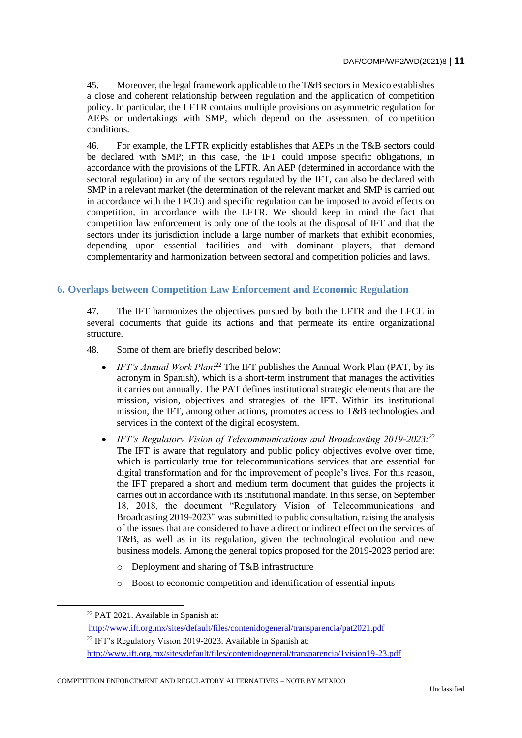45. Moreover, the legal framework applicable to the T&B sectors in Mexico establishes a close and coherent relationship between regulation and the application of competition policy. In particular, the LFTR contains multiple provisions on asymmetric regulation for AEPs or undertakings with SMP, which depend on the assessment of competition conditions.

46. For example, the LFTR explicitly establishes that AEPs in the T&B sectors could be declared with SMP; in this case, the IFT could impose specific obligations, in accordance with the provisions of the LFTR. An AEP (determined in accordance with the sectoral regulation) in any of the sectors regulated by the IFT, can also be declared with SMP in a relevant market (the determination of the relevant market and SMP is carried out in accordance with the LFCE) and specific regulation can be imposed to avoid effects on competition, in accordance with the LFTR. We should keep in mind the fact that competition law enforcement is only one of the tools at the disposal of IFT and that the sectors under its jurisdiction include a large number of markets that exhibit economies, depending upon essential facilities and with dominant players, that demand complementarity and harmonization between sectoral and competition policies and laws.

# **6. Overlaps between Competition Law Enforcement and Economic Regulation**

47. The IFT harmonizes the objectives pursued by both the LFTR and the LFCE in several documents that guide its actions and that permeate its entire organizational structure.

48. Some of them are briefly described below:

- *IFT's Annual Work Plan*:<sup>22</sup> The IFT publishes the Annual Work Plan (PAT, by its acronym in Spanish), which is a short-term instrument that manages the activities it carries out annually. The PAT defines institutional strategic elements that are the mission, vision, objectives and strategies of the IFT. Within its institutional mission, the IFT, among other actions, promotes access to T&B technologies and services in the context of the digital ecosystem.
- *IFT's Regulatory Vision of Telecommunications and Broadcasting 2019-2023: 23* The IFT is aware that regulatory and public policy objectives evolve over time, which is particularly true for telecommunications services that are essential for digital transformation and for the improvement of people's lives. For this reason, the IFT prepared a short and medium term document that guides the projects it carries out in accordance with its institutional mandate. In this sense, on September 18, 2018, the document "Regulatory Vision of Telecommunications and Broadcasting 2019-2023" was submitted to public consultation, raising the analysis of the issues that are considered to have a direct or indirect effect on the services of T&B, as well as in its regulation, given the technological evolution and new business models. Among the general topics proposed for the 2019-2023 period are:
	- o Deployment and sharing of T&B infrastructure
	- o Boost to economic competition and identification of essential inputs

<sup>22</sup> PAT 2021. Available in Spanish at:

<http://www.ift.org.mx/sites/default/files/contenidogeneral/transparencia/pat2021.pdf>

<sup>&</sup>lt;sup>23</sup> IFT's Regulatory Vision 2019-2023. Available in Spanish at:

<http://www.ift.org.mx/sites/default/files/contenidogeneral/transparencia/1vision19-23.pdf>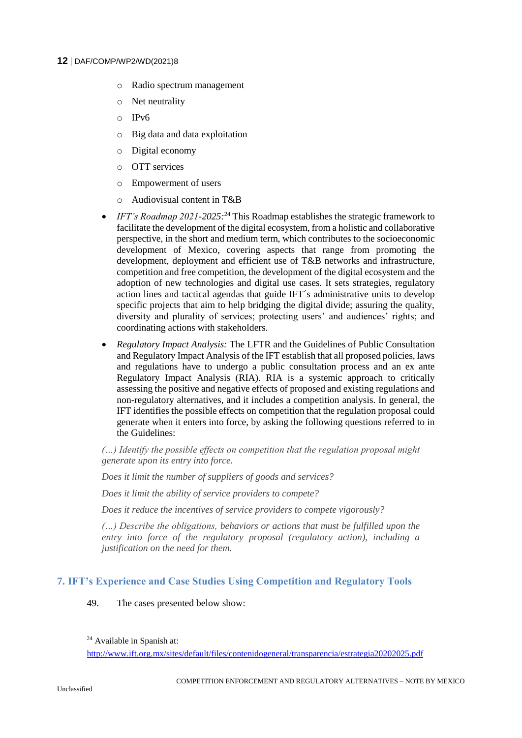- o Radio spectrum management
- o Net neutrality
- o IPv6
- o Big data and data exploitation
- o Digital economy
- o OTT services
- o Empowerment of users
- $\circ$  Audiovisual content in T&B
- *IFT's Roadmap 2021-2025:*<sup>24</sup> This Roadmap establishes the strategic framework to facilitate the development of the digital ecosystem, from a holistic and collaborative perspective, in the short and medium term, which contributes to the socioeconomic development of Mexico, covering aspects that range from promoting the development, deployment and efficient use of T&B networks and infrastructure, competition and free competition, the development of the digital ecosystem and the adoption of new technologies and digital use cases. It sets strategies, regulatory action lines and tactical agendas that guide IFT´s administrative units to develop specific projects that aim to help bridging the digital divide; assuring the quality, diversity and plurality of services; protecting users' and audiences' rights; and coordinating actions with stakeholders.
- *Regulatory Impact Analysis:* The LFTR and the Guidelines of Public Consultation and Regulatory Impact Analysis of the IFT establish that all proposed policies, laws and regulations have to undergo a public consultation process and an ex ante Regulatory Impact Analysis (RIA). RIA is a systemic approach to critically assessing the positive and negative effects of proposed and existing regulations and non-regulatory alternatives, and it includes a competition analysis. In general, the IFT identifies the possible effects on competition that the regulation proposal could generate when it enters into force, by asking the following questions referred to in the Guidelines:

*(…) Identify the possible effects on competition that the regulation proposal might generate upon its entry into force.*

*Does it limit the number of suppliers of goods and services?*

*Does it limit the ability of service providers to compete?*

*Does it reduce the incentives of service providers to compete vigorously?*

*(…) Describe the obligations, behaviors or actions that must be fulfilled upon the entry into force of the regulatory proposal (regulatory action), including a justification on the need for them.*

# **7. IFT's Experience and Case Studies Using Competition and Regulatory Tools**

49. The cases presented below show:

<sup>24</sup> Available in Spanish at:

<http://www.ift.org.mx/sites/default/files/contenidogeneral/transparencia/estrategia20202025.pdf>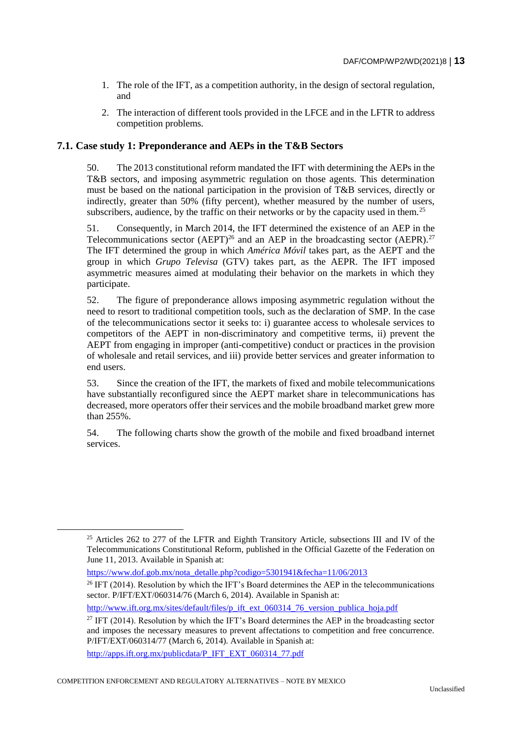- 1. The role of the IFT, as a competition authority, in the design of sectoral regulation, and
- 2. The interaction of different tools provided in the LFCE and in the LFTR to address competition problems.

# **7.1. Case study 1: Preponderance and AEPs in the T&B Sectors**

50. The 2013 constitutional reform mandated the IFT with determining the AEPs in the T&B sectors, and imposing asymmetric regulation on those agents. This determination must be based on the national participation in the provision of T&B services, directly or indirectly, greater than 50% (fifty percent), whether measured by the number of users, subscribers, audience, by the traffic on their networks or by the capacity used in them.<sup>25</sup>

51. Consequently, in March 2014, the IFT determined the existence of an AEP in the Telecommunications sector (AEPT)<sup>26</sup> and an AEP in the broadcasting sector (AEPR).<sup>27</sup> The IFT determined the group in which *América Móvil* takes part, as the AEPT and the group in which *Grupo Televisa* (GTV) takes part, as the AEPR. The IFT imposed asymmetric measures aimed at modulating their behavior on the markets in which they participate.

52. The figure of preponderance allows imposing asymmetric regulation without the need to resort to traditional competition tools, such as the declaration of SMP. In the case of the telecommunications sector it seeks to: i) guarantee access to wholesale services to competitors of the AEPT in non-discriminatory and competitive terms, ii) prevent the AEPT from engaging in improper (anti-competitive) conduct or practices in the provision of wholesale and retail services, and iii) provide better services and greater information to end users.

53. Since the creation of the IFT, the markets of fixed and mobile telecommunications have substantially reconfigured since the AEPT market share in telecommunications has decreased, more operators offer their services and the mobile broadband market grew more than 255%.

54. The following charts show the growth of the mobile and fixed broadband internet services.

[https://www.dof.gob.mx/nota\\_detalle.php?codigo=5301941&fecha=11/06/2013](https://www.dof.gob.mx/nota_detalle.php?codigo=5301941&fecha=11/06/2013)

[http://www.ift.org.mx/sites/default/files/p\\_ift\\_ext\\_060314\\_76\\_version\\_publica\\_hoja.pdf](http://www.ift.org.mx/sites/default/files/p_ift_ext_060314_76_version_publica_hoja.pdf)

[http://apps.ift.org.mx/publicdata/P\\_IFT\\_EXT\\_060314\\_77.pdf](http://apps.ift.org.mx/publicdata/P_IFT_EXT_060314_77.pdf)

<sup>&</sup>lt;sup>25</sup> Articles 262 to 277 of the LFTR and Eighth Transitory Article, subsections III and IV of the Telecommunications Constitutional Reform*,* published in the Official Gazette of the Federation on June 11, 2013. Available in Spanish at:

<sup>&</sup>lt;sup>26</sup> IFT (2014). Resolution by which the IFT's Board determines the AEP in the telecommunications sector. P/IFT/EXT/060314/76 (March 6, 2014). Available in Spanish at:

<sup>&</sup>lt;sup>27</sup> IFT (2014). Resolution by which the IFT's Board determines the AEP in the broadcasting sector and imposes the necessary measures to prevent affectations to competition and free concurrence. P/IFT/EXT/060314/77 (March 6, 2014). Available in Spanish at: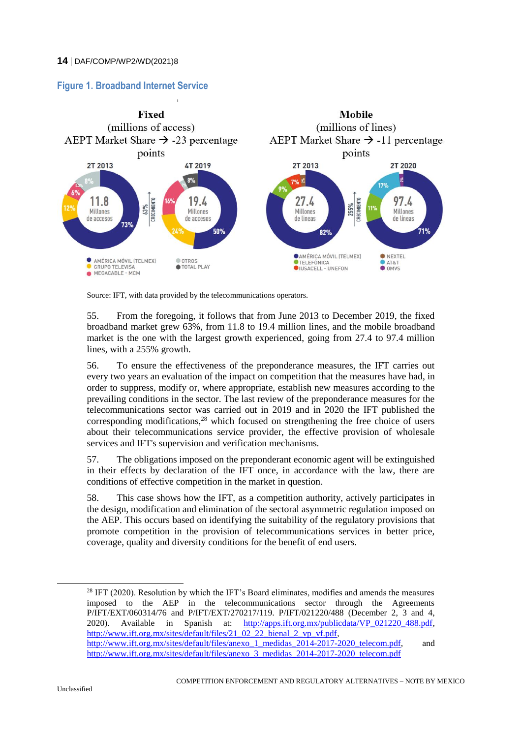# **Figure 1. Broadband Internet Service**



Source: IFT, with data provided by the telecommunications operators.

55. From the foregoing, it follows that from June 2013 to December 2019, the fixed broadband market grew 63%, from 11.8 to 19.4 million lines, and the mobile broadband market is the one with the largest growth experienced, going from 27.4 to 97.4 million lines, with a 255% growth.

56. To ensure the effectiveness of the preponderance measures, the IFT carries out every two years an evaluation of the impact on competition that the measures have had, in order to suppress, modify or, where appropriate, establish new measures according to the prevailing conditions in the sector. The last review of the preponderance measures for the telecommunications sector was carried out in 2019 and in 2020 the IFT published the corresponding modifications,  $28$  which focused on strengthening the free choice of users about their telecommunications service provider, the effective provision of wholesale services and IFT's supervision and verification mechanisms.

57. The obligations imposed on the preponderant economic agent will be extinguished in their effects by declaration of the IFT once, in accordance with the law, there are conditions of effective competition in the market in question.

58. This case shows how the IFT, as a competition authority, actively participates in the design, modification and elimination of the sectoral asymmetric regulation imposed on the AEP. This occurs based on identifying the suitability of the regulatory provisions that promote competition in the provision of telecommunications services in better price, coverage, quality and diversity conditions for the benefit of end users.

 $28$  IFT (2020). Resolution by which the IFT's Board eliminates, modifies and amends the measures imposed to the AEP in the telecommunications sector through the Agreements P/IFT/EXT/060314/76 and P/IFT/EXT/270217/119. P/IFT/021220/488 (December 2, 3 and 4, 2020). Available in Spanish at: [http://apps.ift.org.mx/publicdata/VP\\_021220\\_488.pdf,](http://apps.ift.org.mx/publicdata/VP_021220_488.pdf) [http://www.ift.org.mx/sites/default/files/21\\_02\\_22\\_bienal\\_2\\_vp\\_vf.pdf,](http://www.ift.org.mx/sites/default/files/21_02_22_bienal_2_vp_vf.pdf) [http://www.ift.org.mx/sites/default/files/anexo\\_1\\_medidas\\_2014-2017-2020\\_telecom.pdf,](http://www.ift.org.mx/sites/default/files/anexo_1_medidas_2014-2017-2020_telecom.pdf) and [http://www.ift.org.mx/sites/default/files/anexo\\_3\\_medidas\\_2014-2017-2020\\_telecom.pdf](http://www.ift.org.mx/sites/default/files/anexo_3_medidas_2014-2017-2020_telecom.pdf)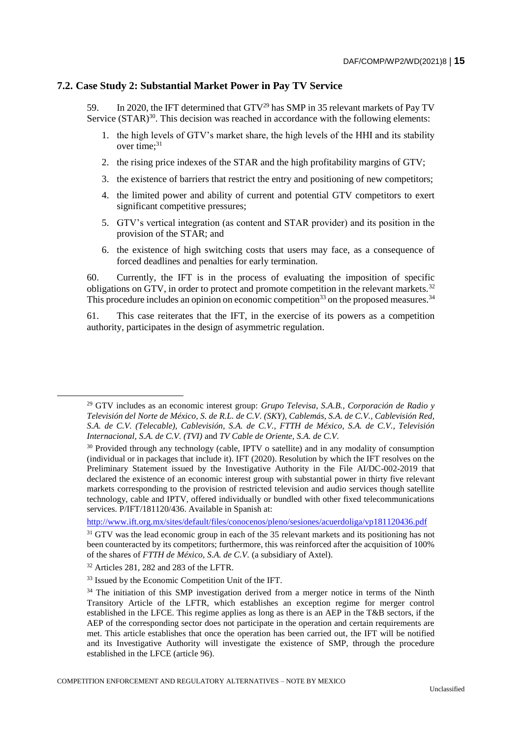#### **7.2. Case Study 2: Substantial Market Power in Pay TV Service**

59. In 2020, the IFT determined that GTV<sup>29</sup> has SMP in 35 relevant markets of Pay TV Service (STAR)<sup>30</sup>. This decision was reached in accordance with the following elements:

- 1. the high levels of GTV's market share, the high levels of the HHI and its stability over time:<sup>31</sup>
- 2. the rising price indexes of the STAR and the high profitability margins of GTV;
- 3. the existence of barriers that restrict the entry and positioning of new competitors;
- 4. the limited power and ability of current and potential GTV competitors to exert significant competitive pressures;
- 5. GTV's vertical integration (as content and STAR provider) and its position in the provision of the STAR; and
- 6. the existence of high switching costs that users may face, as a consequence of forced deadlines and penalties for early termination.

60. Currently, the IFT is in the process of evaluating the imposition of specific obligations on GTV, in order to protect and promote competition in the relevant markets.<sup>32</sup> This procedure includes an opinion on economic competition<sup>33</sup> on the proposed measures.<sup>34</sup>

61. This case reiterates that the IFT, in the exercise of its powers as a competition authority, participates in the design of asymmetric regulation.

<sup>29</sup> GTV includes as an economic interest group: *Grupo Televisa, S.A.B., Corporación de Radio y Televisión del Norte de México, S. de R.L. de C.V. (SKY), Cablemás, S.A. de C.V., Cablevisión Red, S.A. de C.V. (Telecable), Cablevisión, S.A. de C.V., FTTH de México, S.A. de C.V., Televisión Internacional, S.A. de C.V. (TVI)* and *TV Cable de Oriente, S.A. de C.V.*

<sup>&</sup>lt;sup>30</sup> Provided through any technology (cable, IPTV o satellite) and in any modality of consumption (individual or in packages that include it). IFT (2020). Resolution by which the IFT resolves on the Preliminary Statement issued by the Investigative Authority in the File AI/DC-002-2019 that declared the existence of an economic interest group with substantial power in thirty five relevant markets corresponding to the provision of restricted television and audio services though satellite technology, cable and IPTV, offered individually or bundled with other fixed telecommunications services. P/IFT/181120/436. Available in Spanish at:

<http://www.ift.org.mx/sites/default/files/conocenos/pleno/sesiones/acuerdoliga/vp181120436.pdf>

 $31$  GTV was the lead economic group in each of the 35 relevant markets and its positioning has not been counteracted by its competitors; furthermore, this was reinforced after the acquisition of 100% of the shares of *FTTH de México, S.A. de C.V.* (a subsidiary of Axtel).

<sup>32</sup> Articles 281, 282 and 283 of the LFTR.

<sup>&</sup>lt;sup>33</sup> Issued by the Economic Competition Unit of the IFT.

<sup>&</sup>lt;sup>34</sup> The initiation of this SMP investigation derived from a merger notice in terms of the Ninth Transitory Article of the LFTR, which establishes an exception regime for merger control established in the LFCE. This regime applies as long as there is an AEP in the T&B sectors, if the AEP of the corresponding sector does not participate in the operation and certain requirements are met. This article establishes that once the operation has been carried out, the IFT will be notified and its Investigative Authority will investigate the existence of SMP, through the procedure established in the LFCE (article 96).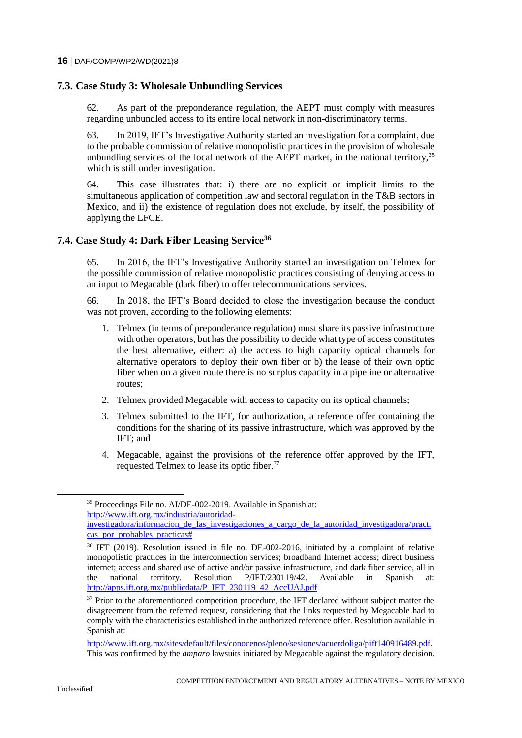# **7.3. Case Study 3: Wholesale Unbundling Services**

62. As part of the preponderance regulation, the AEPT must comply with measures regarding unbundled access to its entire local network in non-discriminatory terms.

63. In 2019, IFT's Investigative Authority started an investigation for a complaint, due to the probable commission of relative monopolistic practices in the provision of wholesale unbundling services of the local network of the AEPT market, in the national territory, $35$ which is still under investigation.

64. This case illustrates that: i) there are no explicit or implicit limits to the simultaneous application of competition law and sectoral regulation in the T&B sectors in Mexico, and ii) the existence of regulation does not exclude, by itself, the possibility of applying the LFCE.

# **7.4. Case Study 4: Dark Fiber Leasing Service<sup>36</sup>**

65. In 2016, the IFT's Investigative Authority started an investigation on Telmex for the possible commission of relative monopolistic practices consisting of denying access to an input to Megacable (dark fiber) to offer telecommunications services.

66. In 2018, the IFT's Board decided to close the investigation because the conduct was not proven, according to the following elements:

- 1. Telmex (in terms of preponderance regulation) must share its passive infrastructure with other operators, but has the possibility to decide what type of access constitutes the best alternative, either: a) the access to high capacity optical channels for alternative operators to deploy their own fiber or b) the lease of their own optic fiber when on a given route there is no surplus capacity in a pipeline or alternative routes;
- 2. Telmex provided Megacable with access to capacity on its optical channels;
- 3. Telmex submitted to the IFT, for authorization, a reference offer containing the conditions for the sharing of its passive infrastructure, which was approved by the IFT; and
- 4. Megacable, against the provisions of the reference offer approved by the IFT, requested Telmex to lease its optic fiber.<sup>37</sup>

 $\overline{a}$ 

<sup>35</sup> Proceedings File no. AI/DE-002-2019. Available in Spanish at: [http://www.ift.org.mx/industria/autoridad-](http://www.ift.org.mx/industria/autoridad-investigadora/informacion_de_las_investigaciones_a_cargo_de_la_autoridad_investigadora/practicas_por_probables_practicas)

[investigadora/informacion\\_de\\_las\\_investigaciones\\_a\\_cargo\\_de\\_la\\_autoridad\\_investigadora/practi](http://www.ift.org.mx/industria/autoridad-investigadora/informacion_de_las_investigaciones_a_cargo_de_la_autoridad_investigadora/practicas_por_probables_practicas) [cas\\_por\\_probables\\_practicas#](http://www.ift.org.mx/industria/autoridad-investigadora/informacion_de_las_investigaciones_a_cargo_de_la_autoridad_investigadora/practicas_por_probables_practicas)

<sup>&</sup>lt;sup>36</sup> IFT (2019). Resolution issued in file no. DE-002-2016, initiated by a complaint of relative monopolistic practices in the interconnection services; broadband Internet access; direct business internet; access and shared use of active and/or passive infrastructure, and dark fiber service, all in the national territory. Resolution P/IFT/230119/42. Available in Spanish at: [http://apps.ift.org.mx/publicdata/P\\_IFT\\_230119\\_42\\_AccUAJ.pdf](http://apps.ift.org.mx/publicdata/P_IFT_230119_42_AccUAJ.pdf)

 $37$  Prior to the aforementioned competition procedure, the IFT declared without subject matter the disagreement from the referred request, considering that the links requested by Megacable had to comply with the characteristics established in the authorized reference offer. Resolution available in Spanish at:

[http://www.ift.org.mx/sites/default/files/conocenos/pleno/sesiones/acuerdoliga/pift140916489.pdf.](http://www.ift.org.mx/sites/default/files/conocenos/pleno/sesiones/acuerdoliga/pift140916489.pdf)  This was confirmed by the *amparo* lawsuits initiated by Megacable against the regulatory decision.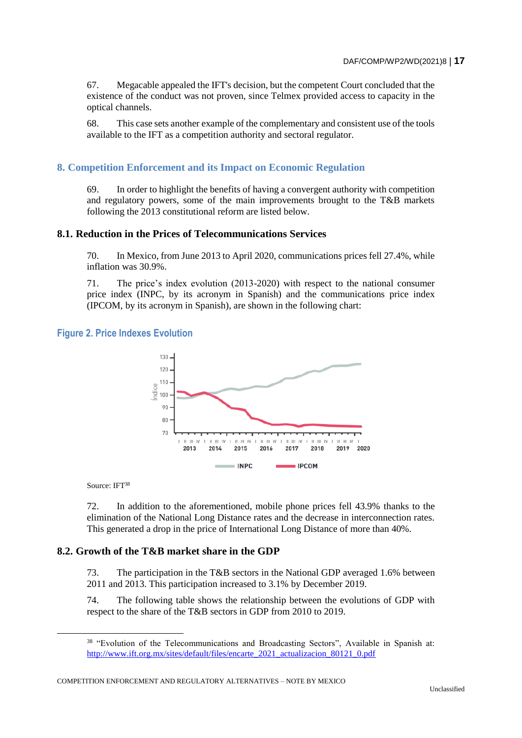67. Megacable appealed the IFT's decision, but the competent Court concluded that the existence of the conduct was not proven, since Telmex provided access to capacity in the optical channels.

68. This case sets another example of the complementary and consistent use of the tools available to the IFT as a competition authority and sectoral regulator.

### **8. Competition Enforcement and its Impact on Economic Regulation**

69. In order to highlight the benefits of having a convergent authority with competition and regulatory powers, some of the main improvements brought to the T&B markets following the 2013 constitutional reform are listed below.

#### **8.1. Reduction in the Prices of Telecommunications Services**

70. In Mexico, from June 2013 to April 2020, communications prices fell 27.4%, while inflation was 30.9%.

71. The price's index evolution (2013-2020) with respect to the national consumer price index (INPC, by its acronym in Spanish) and the communications price index (IPCOM, by its acronym in Spanish), are shown in the following chart:

#### **Figure 2. Price Indexes Evolution**



Source: IFT<sup>38</sup>

72. In addition to the aforementioned, mobile phone prices fell 43.9% thanks to the elimination of the National Long Distance rates and the decrease in interconnection rates. This generated a drop in the price of International Long Distance of more than 40%.

#### **8.2. Growth of the T&B market share in the GDP**

73. The participation in the T&B sectors in the National GDP averaged 1.6% between 2011 and 2013. This participation increased to 3.1% by December 2019.

74. The following table shows the relationship between the evolutions of GDP with respect to the share of the T&B sectors in GDP from 2010 to 2019.

<sup>&</sup>lt;sup>38</sup> "Evolution of the Telecommunications and Broadcasting Sectors", Available in Spanish at: [http://www.ift.org.mx/sites/default/files/encarte\\_2021\\_actualizacion\\_80121\\_0.pdf](http://www.ift.org.mx/sites/default/files/encarte_2021_actualizacion_80121_0.pdf)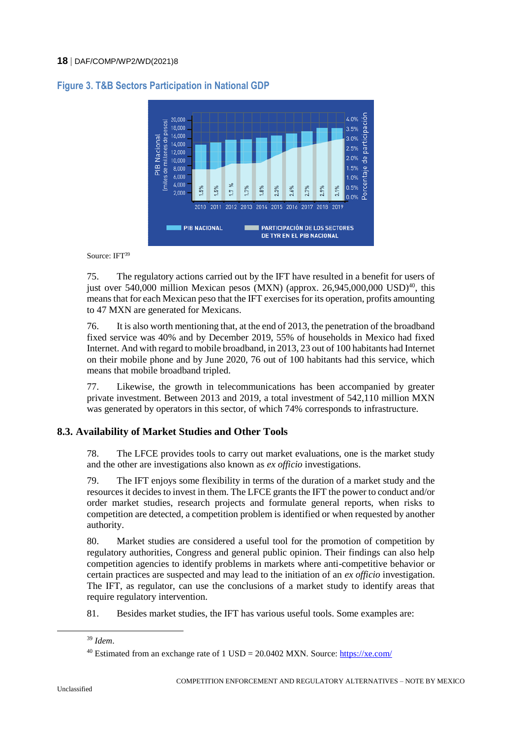

# **Figure 3. T&B Sectors Participation in National GDP**

Source: IFT<sup>39</sup>

75. The regulatory actions carried out by the IFT have resulted in a benefit for users of just over 540,000 million Mexican pesos (MXN) (approx. 26,945,000,000 USD)<sup>40</sup>, this means that for each Mexican peso that the IFT exercises for its operation, profits amounting to 47 MXN are generated for Mexicans.

76. It is also worth mentioning that, at the end of 2013, the penetration of the broadband fixed service was 40% and by December 2019, 55% of households in Mexico had fixed Internet. And with regard to mobile broadband, in 2013, 23 out of 100 habitants had Internet on their mobile phone and by June 2020, 76 out of 100 habitants had this service, which means that mobile broadband tripled.

77. Likewise, the growth in telecommunications has been accompanied by greater private investment. Between 2013 and 2019, a total investment of 542,110 million MXN was generated by operators in this sector, of which 74% corresponds to infrastructure.

# **8.3. Availability of Market Studies and Other Tools**

78. The LFCE provides tools to carry out market evaluations, one is the market study and the other are investigations also known as *ex officio* investigations.

79. The IFT enjoys some flexibility in terms of the duration of a market study and the resources it decides to invest in them. The LFCE grants the IFT the power to conduct and/or order market studies, research projects and formulate general reports, when risks to competition are detected, a competition problem is identified or when requested by another authority.

80. Market studies are considered a useful tool for the promotion of competition by regulatory authorities, Congress and general public opinion. Their findings can also help competition agencies to identify problems in markets where anti-competitive behavior or certain practices are suspected and may lead to the initiation of an *ex officio* investigation. The IFT, as regulator, can use the conclusions of a market study to identify areas that require regulatory intervention.

81. Besides market studies, the IFT has various useful tools. Some examples are:

<sup>39</sup> *Idem*.

<sup>40</sup> Estimated from an exchange rate of 1 USD = 20.0402 MXN. Source[: https://xe.com/](https://xe.com/)